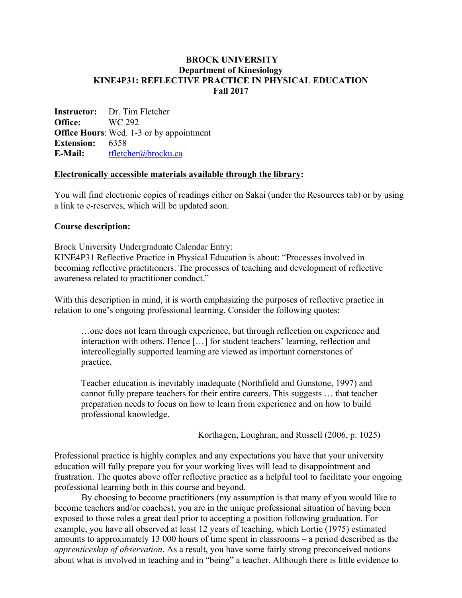#### **BROCK UNIVERSITY Department of Kinesiology KINE4P31: REFLECTIVE PRACTICE IN PHYSICAL EDUCATION Fall 2017**

**Instructor:** Dr. Tim Fletcher **Office:** WC 292 **Office Hours**: Wed. 1-3 or by appointment **Extension:** 6358 **E-Mail:** tfletcher@brocku.ca

#### **Electronically accessible materials available through the library:**

You will find electronic copies of readings either on Sakai (under the Resources tab) or by using a link to e-reserves, which will be updated soon.

#### **Course description:**

Brock University Undergraduate Calendar Entry:

KINE4P31 Reflective Practice in Physical Education is about: "Processes involved in becoming reflective practitioners. The processes of teaching and development of reflective awareness related to practitioner conduct."

With this description in mind, it is worth emphasizing the purposes of reflective practice in relation to one's ongoing professional learning. Consider the following quotes:

…one does not learn through experience, but through reflection on experience and interaction with others. Hence […] for student teachers' learning, reflection and intercollegially supported learning are viewed as important cornerstones of practice.

Teacher education is inevitably inadequate (Northfield and Gunstone, 1997) and cannot fully prepare teachers for their entire careers. This suggests … that teacher preparation needs to focus on how to learn from experience and on how to build professional knowledge.

Korthagen, Loughran, and Russell (2006, p. 1025)

Professional practice is highly complex and any expectations you have that your university education will fully prepare you for your working lives will lead to disappointment and frustration. The quotes above offer reflective practice as a helpful tool to facilitate your ongoing professional learning both in this course and beyond.

By choosing to become practitioners (my assumption is that many of you would like to become teachers and/or coaches), you are in the unique professional situation of having been exposed to those roles a great deal prior to accepting a position following graduation. For example, you have all observed at least 12 years of teaching, which Lortie (1975) estimated amounts to approximately 13 000 hours of time spent in classrooms – a period described as the *apprenticeship of observation*. As a result, you have some fairly strong preconceived notions about what is involved in teaching and in "being" a teacher. Although there is little evidence to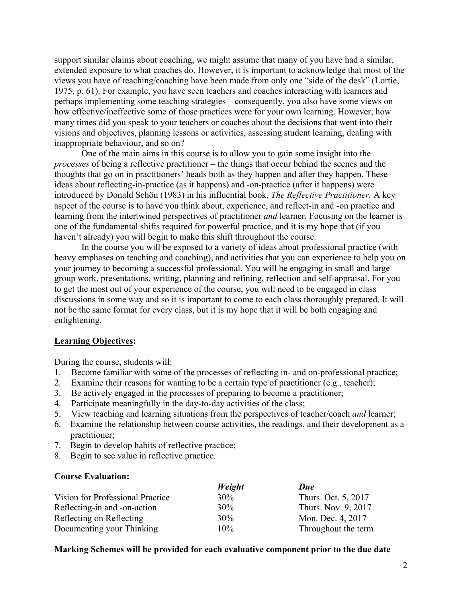support similar claims about coaching, we might assume that many of you have had a similar, extended exposure to what coaches do. However, it is important to acknowledge that most of the views you have of teaching/coaching have been made from only one "side of the desk" (Lortie, 1975, p. 61). For example, you have seen teachers and coaches interacting with learners and perhaps implementing some teaching strategies – consequently, you also have some views on how effective/ineffective some of those practices were for your own learning. However, how many times did you speak to your teachers or coaches about the decisions that went into their visions and objectives, planning lessons or activities, assessing student learning, dealing with inappropriate behaviour, and so on?

One of the main aims in this course is to allow you to gain some insight into the *processes* of being a reflective practitioner – the things that occur behind the scenes and the thoughts that go on in practitioners' heads both as they happen and after they happen. These ideas about reflecting-in-practice (as it happens) and -on-practice (after it happens) were introduced by Donald Schön (1983) in his influential book, *The Reflective Practitioner.* A key aspect of the course is to have you think about, experience, and reflect-in and -on practice and learning from the intertwined perspectives of practitioner *and* learner. Focusing on the learner is one of the fundamental shifts required for powerful practice, and it is my hope that (if you haven't already) you will begin to make this shift throughout the course.

In the course you will be exposed to a variety of ideas about professional practice (with heavy emphases on teaching and coaching), and activities that you can experience to help you on your journey to becoming a successful professional. You will be engaging in small and large group work, presentations, writing, planning and refining, reflection and self-appraisal. For you to get the most out of your experience of the course, you will need to be engaged in class discussions in some way and so it is important to come to each class thoroughly prepared. It will not be the same format for every class, but it is my hope that it will be both engaging and enlightening.

#### **Learning Objectives:**

During the course, students will:

- 1. Become familiar with some of the processes of reflecting in- and on-professional practice;
- 2. Examine their reasons for wanting to be a certain type of practitioner (e.g., teacher);
- 3. Be actively engaged in the processes of preparing to become a practitioner;
- 4. Participate meaningfully in the day-to-day activities of the class;
- 5. View teaching and learning situations from the perspectives of teacher/coach *and* learner;
- 6. Examine the relationship between course activities, the readings, and their development as a practitioner;
- 7. Begin to develop habits of reflective practice;
- 8. Begin to see value in reflective practice.

#### **Course Evaluation:**

|                                  | Weight | Due                 |
|----------------------------------|--------|---------------------|
| Vision for Professional Practice | 30%    | Thurs. Oct. 5, 2017 |
| Reflecting-in and -on-action     | 30%    | Thurs. Nov. 9, 2017 |
| Reflecting on Reflecting         | 30%    | Mon. Dec. 4, 2017   |
| Documenting your Thinking        | $10\%$ | Throughout the term |

#### **Marking Schemes will be provided for each evaluative component prior to the due date**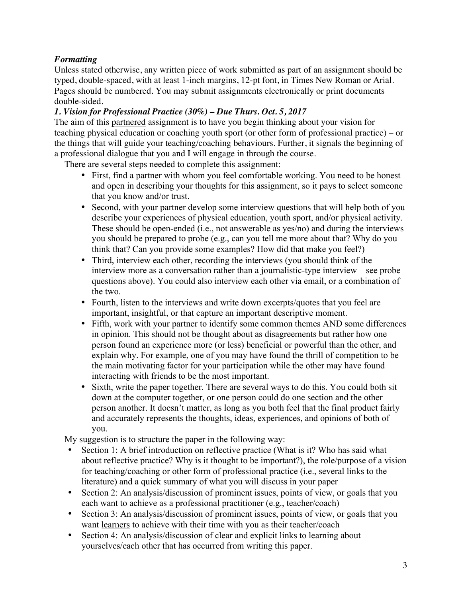# *Formatting*

Unless stated otherwise, any written piece of work submitted as part of an assignment should be typed, double-spaced, with at least 1-inch margins, 12-pt font, in Times New Roman or Arial. Pages should be numbered. You may submit assignments electronically or print documents double-sided.

# *1. Vision for Professional Practice (30%) – Due Thurs. Oct. 5, 2017*

The aim of this partnered assignment is to have you begin thinking about your vision for teaching physical education or coaching youth sport (or other form of professional practice) – or the things that will guide your teaching/coaching behaviours. Further, it signals the beginning of a professional dialogue that you and I will engage in through the course.

There are several steps needed to complete this assignment:

- First, find a partner with whom you feel comfortable working. You need to be honest and open in describing your thoughts for this assignment, so it pays to select someone that you know and/or trust.
- Second, with your partner develop some interview questions that will help both of you describe your experiences of physical education, youth sport, and/or physical activity. These should be open-ended (i.e., not answerable as yes/no) and during the interviews you should be prepared to probe (e.g., can you tell me more about that? Why do you think that? Can you provide some examples? How did that make you feel?)
- Third, interview each other, recording the interviews (you should think of the interview more as a conversation rather than a journalistic-type interview – see probe questions above). You could also interview each other via email, or a combination of the two.
- Fourth, listen to the interviews and write down excerpts/quotes that you feel are important, insightful, or that capture an important descriptive moment.
- Fifth, work with your partner to identify some common themes AND some differences in opinion. This should not be thought about as disagreements but rather how one person found an experience more (or less) beneficial or powerful than the other, and explain why. For example, one of you may have found the thrill of competition to be the main motivating factor for your participation while the other may have found interacting with friends to be the most important.
- Sixth, write the paper together. There are several ways to do this. You could both sit down at the computer together, or one person could do one section and the other person another. It doesn't matter, as long as you both feel that the final product fairly and accurately represents the thoughts, ideas, experiences, and opinions of both of you.

My suggestion is to structure the paper in the following way:

- Section 1: A brief introduction on reflective practice (What is it? Who has said what about reflective practice? Why is it thought to be important?), the role/purpose of a vision for teaching/coaching or other form of professional practice (i.e., several links to the literature) and a quick summary of what you will discuss in your paper
- Section 2: An analysis/discussion of prominent issues, points of view, or goals that you each want to achieve as a professional practitioner (e.g., teacher/coach)
- Section 3: An analysis/discussion of prominent issues, points of view, or goals that you want learners to achieve with their time with you as their teacher/coach
- Section 4: An analysis/discussion of clear and explicit links to learning about yourselves/each other that has occurred from writing this paper.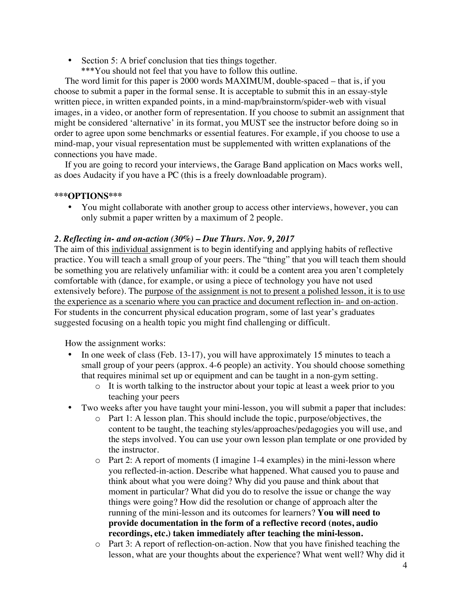Section 5: A brief conclusion that ties things together. \*\*\*You should not feel that you have to follow this outline.

The word limit for this paper is 2000 words MAXIMUM, double-spaced – that is, if you choose to submit a paper in the formal sense. It is acceptable to submit this in an essay-style written piece, in written expanded points, in a mind-map/brainstorm/spider-web with visual images, in a video, or another form of representation. If you choose to submit an assignment that might be considered 'alternative' in its format, you MUST see the instructor before doing so in order to agree upon some benchmarks or essential features. For example, if you choose to use a mind-map, your visual representation must be supplemented with written explanations of the connections you have made.

If you are going to record your interviews, the Garage Band application on Macs works well, as does Audacity if you have a PC (this is a freely downloadable program).

#### **\*\*\*OPTIONS\*\*\***

• You might collaborate with another group to access other interviews, however, you can only submit a paper written by a maximum of 2 people.

## *2. Reflecting in- and on-action (30%) – Due Thurs. Nov. 9, 2017*

The aim of this individual assignment is to begin identifying and applying habits of reflective practice. You will teach a small group of your peers. The "thing" that you will teach them should be something you are relatively unfamiliar with: it could be a content area you aren't completely comfortable with (dance, for example, or using a piece of technology you have not used extensively before). The purpose of the assignment is not to present a polished lesson, it is to use the experience as a scenario where you can practice and document reflection in- and on-action. For students in the concurrent physical education program, some of last year's graduates suggested focusing on a health topic you might find challenging or difficult.

How the assignment works:

- In one week of class (Feb. 13-17), you will have approximately 15 minutes to teach a small group of your peers (approx. 4-6 people) an activity. You should choose something that requires minimal set up or equipment and can be taught in a non-gym setting.
	- o It is worth talking to the instructor about your topic at least a week prior to you teaching your peers
- Two weeks after you have taught your mini-lesson, you will submit a paper that includes:
	- o Part 1: A lesson plan. This should include the topic, purpose/objectives, the content to be taught, the teaching styles/approaches/pedagogies you will use, and the steps involved. You can use your own lesson plan template or one provided by the instructor.
	- o Part 2: A report of moments (I imagine 1-4 examples) in the mini-lesson where you reflected-in-action. Describe what happened. What caused you to pause and think about what you were doing? Why did you pause and think about that moment in particular? What did you do to resolve the issue or change the way things were going? How did the resolution or change of approach alter the running of the mini-lesson and its outcomes for learners? **You will need to provide documentation in the form of a reflective record (notes, audio recordings, etc.) taken immediately after teaching the mini-lesson.**
	- o Part 3: A report of reflection-on-action. Now that you have finished teaching the lesson, what are your thoughts about the experience? What went well? Why did it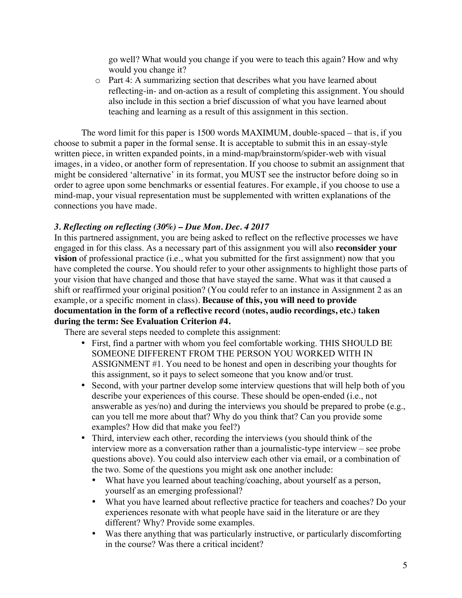go well? What would you change if you were to teach this again? How and why would you change it?

o Part 4: A summarizing section that describes what you have learned about reflecting-in- and on-action as a result of completing this assignment. You should also include in this section a brief discussion of what you have learned about teaching and learning as a result of this assignment in this section.

The word limit for this paper is 1500 words MAXIMUM, double-spaced – that is, if you choose to submit a paper in the formal sense. It is acceptable to submit this in an essay-style written piece, in written expanded points, in a mind-map/brainstorm/spider-web with visual images, in a video, or another form of representation. If you choose to submit an assignment that might be considered 'alternative' in its format, you MUST see the instructor before doing so in order to agree upon some benchmarks or essential features. For example, if you choose to use a mind-map, your visual representation must be supplemented with written explanations of the connections you have made.

## *3. Reflecting on reflecting (30%) – Due Mon. Dec. 4 2017*

In this partnered assignment, you are being asked to reflect on the reflective processes we have engaged in for this class. As a necessary part of this assignment you will also **reconsider your vision** of professional practice (i.e., what you submitted for the first assignment) now that you have completed the course. You should refer to your other assignments to highlight those parts of your vision that have changed and those that have stayed the same. What was it that caused a shift or reaffirmed your original position? (You could refer to an instance in Assignment 2 as an example, or a specific moment in class). **Because of this, you will need to provide documentation in the form of a reflective record (notes, audio recordings, etc.) taken during the term: See Evaluation Criterion #4.**

There are several steps needed to complete this assignment:

- First, find a partner with whom you feel comfortable working. THIS SHOULD BE SOMEONE DIFFERENT FROM THE PERSON YOU WORKED WITH IN ASSIGNMENT #1. You need to be honest and open in describing your thoughts for this assignment, so it pays to select someone that you know and/or trust.
- Second, with your partner develop some interview questions that will help both of you describe your experiences of this course. These should be open-ended (i.e., not answerable as yes/no) and during the interviews you should be prepared to probe (e.g., can you tell me more about that? Why do you think that? Can you provide some examples? How did that make you feel?)
- Third, interview each other, recording the interviews (you should think of the interview more as a conversation rather than a journalistic-type interview – see probe questions above). You could also interview each other via email, or a combination of the two. Some of the questions you might ask one another include:
	- What have you learned about teaching/coaching, about yourself as a person, yourself as an emerging professional?
	- What you have learned about reflective practice for teachers and coaches? Do your experiences resonate with what people have said in the literature or are they different? Why? Provide some examples.
	- Was there anything that was particularly instructive, or particularly discomforting in the course? Was there a critical incident?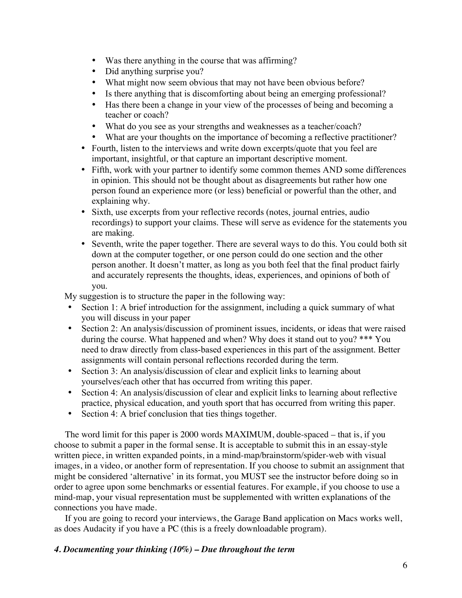- Was there anything in the course that was affirming?
- Did anything surprise you?
- What might now seem obvious that may not have been obvious before?
- Is there anything that is discomforting about being an emerging professional?
- Has there been a change in your view of the processes of being and becoming a teacher or coach?
- What do you see as your strengths and weaknesses as a teacher/coach?
- What are your thoughts on the importance of becoming a reflective practitioner?
- Fourth, listen to the interviews and write down excerpts/quote that you feel are important, insightful, or that capture an important descriptive moment.
- Fifth, work with your partner to identify some common themes AND some differences in opinion. This should not be thought about as disagreements but rather how one person found an experience more (or less) beneficial or powerful than the other, and explaining why.
- Sixth, use excerpts from your reflective records (notes, journal entries, audio recordings) to support your claims. These will serve as evidence for the statements you are making.
- Seventh, write the paper together. There are several ways to do this. You could both sit down at the computer together, or one person could do one section and the other person another. It doesn't matter, as long as you both feel that the final product fairly and accurately represents the thoughts, ideas, experiences, and opinions of both of you.

My suggestion is to structure the paper in the following way:

- Section 1: A brief introduction for the assignment, including a quick summary of what you will discuss in your paper
- Section 2: An analysis/discussion of prominent issues, incidents, or ideas that were raised during the course. What happened and when? Why does it stand out to you? \*\*\* You need to draw directly from class-based experiences in this part of the assignment. Better assignments will contain personal reflections recorded during the term.
- Section 3: An analysis/discussion of clear and explicit links to learning about yourselves/each other that has occurred from writing this paper.
- Section 4: An analysis/discussion of clear and explicit links to learning about reflective practice, physical education, and youth sport that has occurred from writing this paper.
- Section 4: A brief conclusion that ties things together.

The word limit for this paper is 2000 words MAXIMUM, double-spaced – that is, if you choose to submit a paper in the formal sense. It is acceptable to submit this in an essay-style written piece, in written expanded points, in a mind-map/brainstorm/spider-web with visual images, in a video, or another form of representation. If you choose to submit an assignment that might be considered 'alternative' in its format, you MUST see the instructor before doing so in order to agree upon some benchmarks or essential features. For example, if you choose to use a mind-map, your visual representation must be supplemented with written explanations of the connections you have made.

If you are going to record your interviews, the Garage Band application on Macs works well, as does Audacity if you have a PC (this is a freely downloadable program).

## *4. Documenting your thinking (10%) – Due throughout the term*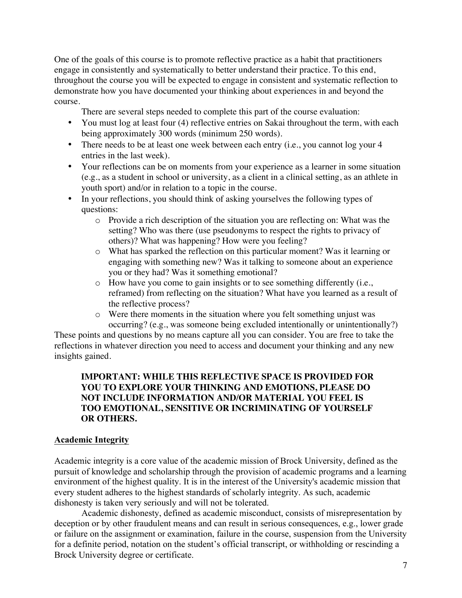One of the goals of this course is to promote reflective practice as a habit that practitioners engage in consistently and systematically to better understand their practice. To this end, throughout the course you will be expected to engage in consistent and systematic reflection to demonstrate how you have documented your thinking about experiences in and beyond the course.

There are several steps needed to complete this part of the course evaluation:

- You must log at least four (4) reflective entries on Sakai throughout the term, with each being approximately 300 words (minimum 250 words).
- There needs to be at least one week between each entry (i.e., you cannot log your 4 entries in the last week).
- Your reflections can be on moments from your experience as a learner in some situation (e.g., as a student in school or university, as a client in a clinical setting, as an athlete in youth sport) and/or in relation to a topic in the course.
- In your reflections, you should think of asking yourselves the following types of questions:
	- o Provide a rich description of the situation you are reflecting on: What was the setting? Who was there (use pseudonyms to respect the rights to privacy of others)? What was happening? How were you feeling?
	- o What has sparked the reflection on this particular moment? Was it learning or engaging with something new? Was it talking to someone about an experience you or they had? Was it something emotional?
	- o How have you come to gain insights or to see something differently (i.e., reframed) from reflecting on the situation? What have you learned as a result of the reflective process?
	- o Were there moments in the situation where you felt something unjust was occurring? (e.g., was someone being excluded intentionally or unintentionally?)

These points and questions by no means capture all you can consider. You are free to take the reflections in whatever direction you need to access and document your thinking and any new insights gained.

## **IMPORTANT: WHILE THIS REFLECTIVE SPACE IS PROVIDED FOR YOU TO EXPLORE YOUR THINKING AND EMOTIONS, PLEASE DO NOT INCLUDE INFORMATION AND/OR MATERIAL YOU FEEL IS TOO EMOTIONAL, SENSITIVE OR INCRIMINATING OF YOURSELF OR OTHERS.**

## **Academic Integrity**

Academic integrity is a core value of the academic mission of Brock University, defined as the pursuit of knowledge and scholarship through the provision of academic programs and a learning environment of the highest quality. It is in the interest of the University's academic mission that every student adheres to the highest standards of scholarly integrity. As such, academic dishonesty is taken very seriously and will not be tolerated.

Academic dishonesty, defined as academic misconduct, consists of misrepresentation by deception or by other fraudulent means and can result in serious consequences, e.g., lower grade or failure on the assignment or examination, failure in the course, suspension from the University for a definite period, notation on the student's official transcript, or withholding or rescinding a Brock University degree or certificate.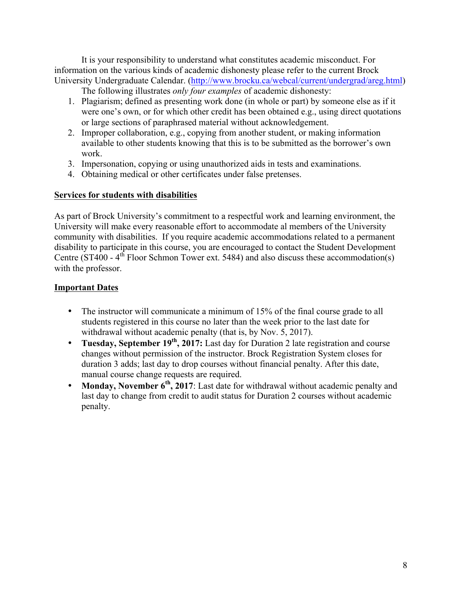It is your responsibility to understand what constitutes academic misconduct. For information on the various kinds of academic dishonesty please refer to the current Brock University Undergraduate Calendar. (http://www.brocku.ca/webcal/current/undergrad/areg.html)

The following illustrates *only four examples* of academic dishonesty:

- 1. Plagiarism; defined as presenting work done (in whole or part) by someone else as if it were one's own, or for which other credit has been obtained e.g., using direct quotations or large sections of paraphrased material without acknowledgement.
- 2. Improper collaboration, e.g., copying from another student, or making information available to other students knowing that this is to be submitted as the borrower's own work.
- 3. Impersonation, copying or using unauthorized aids in tests and examinations.
- 4. Obtaining medical or other certificates under false pretenses.

## **Services for students with disabilities**

As part of Brock University's commitment to a respectful work and learning environment, the University will make every reasonable effort to accommodate al members of the University community with disabilities. If you require academic accommodations related to a permanent disability to participate in this course, you are encouraged to contact the Student Development Centre ( $ST400 - 4<sup>th</sup>$  Floor Schmon Tower ext. 5484) and also discuss these accommodation(s) with the professor.

## **Important Dates**

- The instructor will communicate a minimum of 15% of the final course grade to all students registered in this course no later than the week prior to the last date for withdrawal without academic penalty (that is, by Nov. 5, 2017).
- **Tuesday, September 19<sup>th</sup>, 2017:** Last day for Duration 2 late registration and course changes without permission of the instructor. Brock Registration System closes for duration 3 adds; last day to drop courses without financial penalty. After this date, manual course change requests are required.
- **Monday, November 6<sup>th</sup>, 2017**: Last date for withdrawal without academic penalty and last day to change from credit to audit status for Duration 2 courses without academic penalty.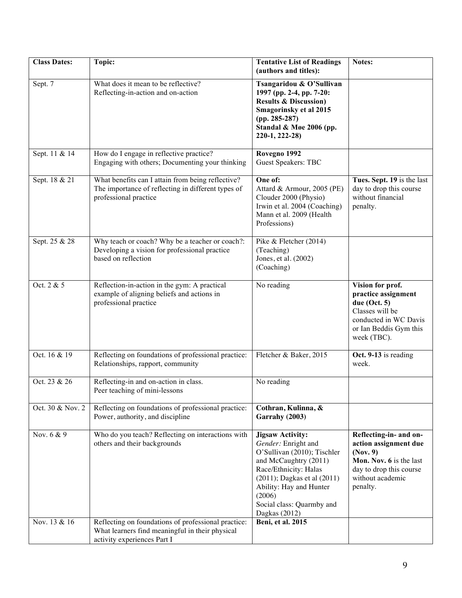| <b>Class Dates:</b> | Topic:                                                                                                                                | <b>Tentative List of Readings</b><br>(authors and titles):                                                                                                                                                                                             | Notes:                                                                                                                                            |
|---------------------|---------------------------------------------------------------------------------------------------------------------------------------|--------------------------------------------------------------------------------------------------------------------------------------------------------------------------------------------------------------------------------------------------------|---------------------------------------------------------------------------------------------------------------------------------------------------|
| Sept. 7             | What does it mean to be reflective?<br>Reflecting-in-action and on-action                                                             | Tsangaridou & O'Sullivan<br>1997 (pp. 2-4, pp. 7-20:<br><b>Results &amp; Discussion)</b><br><b>Smagorinsky et al 2015</b><br>$(pp. 285-287)$<br>Standal & Møe 2006 (pp.<br>220-1, 222-28)                                                              |                                                                                                                                                   |
| Sept. 11 & 14       | How do I engage in reflective practice?<br>Engaging with others; Documenting your thinking                                            | Rovegno 1992<br><b>Guest Speakers: TBC</b>                                                                                                                                                                                                             |                                                                                                                                                   |
| Sept. 18 & 21       | What benefits can I attain from being reflective?<br>The importance of reflecting in different types of<br>professional practice      | One of:<br>Attard & Armour, 2005 (PE)<br>Clouder 2000 (Physio)<br>Irwin et al. 2004 (Coaching)<br>Mann et al. 2009 (Health<br>Professions)                                                                                                             | Tues. Sept. 19 is the last<br>day to drop this course<br>without financial<br>penalty.                                                            |
| Sept. 25 & 28       | Why teach or coach? Why be a teacher or coach?:<br>Developing a vision for professional practice<br>based on reflection               | Pike & Fletcher (2014)<br>(Teaching)<br>Jones, et al. (2002)<br>(Coaching)                                                                                                                                                                             |                                                                                                                                                   |
| Oct. 2 & 5          | Reflection-in-action in the gym: A practical<br>example of aligning beliefs and actions in<br>professional practice                   | No reading                                                                                                                                                                                                                                             | Vision for prof.<br>practice assignment<br>due $(Oct. 5)$<br>Classes will be<br>conducted in WC Davis<br>or Ian Beddis Gym this<br>week (TBC).    |
| Oct. 16 & 19        | Reflecting on foundations of professional practice:<br>Relationships, rapport, community                                              | Fletcher & Baker, 2015                                                                                                                                                                                                                                 | Oct. 9-13 is reading<br>week.                                                                                                                     |
| Oct. 23 & 26        | Reflecting-in and on-action in class.<br>Peer teaching of mini-lessons                                                                | No reading                                                                                                                                                                                                                                             |                                                                                                                                                   |
| Oct. 30 & Nov. 2    | Reflecting on foundations of professional practice:<br>Power, authority, and discipline                                               | Cothran, Kulinna, &<br>Garrahy (2003)                                                                                                                                                                                                                  |                                                                                                                                                   |
| Nov. 6 & 9          | Who do you teach? Reflecting on interactions with<br>others and their backgrounds                                                     | <b>Jigsaw Activity:</b><br>Gender: Enright and<br>O'Sullivan (2010); Tischler<br>and McCaughtry (2011)<br>Race/Ethnicity: Halas<br>$(2011)$ ; Dagkas et al $(2011)$<br>Ability: Hay and Hunter<br>(2006)<br>Social class: Quarmby and<br>Dagkas (2012) | Reflecting-in- and on-<br>action assignment due<br>(Nov. 9)<br>Mon. Nov. 6 is the last<br>day to drop this course<br>without academic<br>penalty. |
| Nov. 13 & 16        | Reflecting on foundations of professional practice:<br>What learners find meaningful in their physical<br>activity experiences Part I | Beni, et al. 2015                                                                                                                                                                                                                                      |                                                                                                                                                   |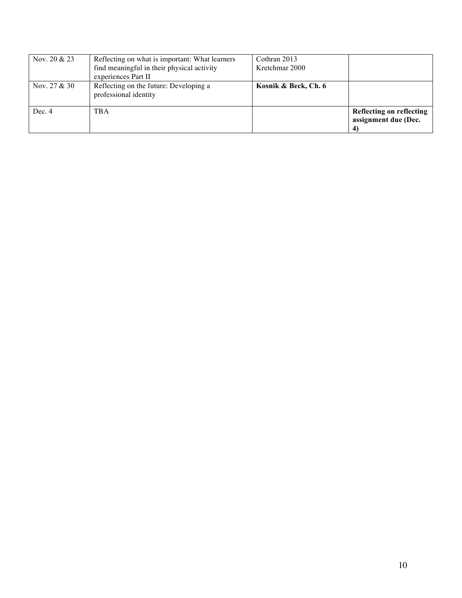| Nov. $20 & 23$ | Reflecting on what is important: What learners<br>find meaningful in their physical activity<br>experiences Part II | Cothran 2013<br>Kretchmar 2000 |                                                       |
|----------------|---------------------------------------------------------------------------------------------------------------------|--------------------------------|-------------------------------------------------------|
| Nov. $27 & 30$ | Reflecting on the future: Developing a<br>professional identity                                                     | Kosnik & Beck, Ch. 6           |                                                       |
| Dec. 4         | TBA                                                                                                                 |                                | Reflecting on reflecting<br>assignment due (Dec.<br>4 |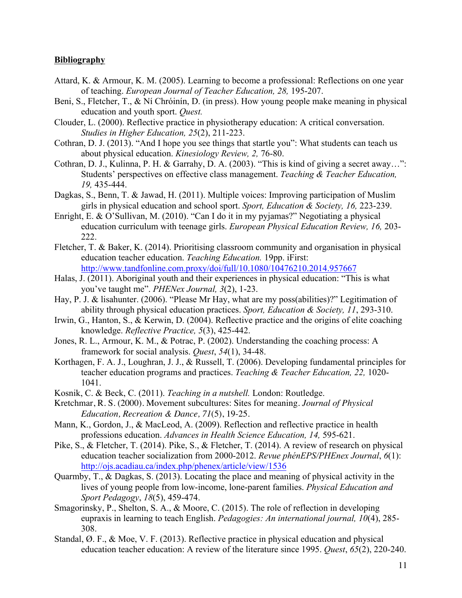#### **Bibliography**

- Attard, K. & Armour, K. M. (2005). Learning to become a professional: Reflections on one year of teaching. *European Journal of Teacher Education, 28,* 195-207.
- Beni, S., Fletcher, T., & Ní Chróinín, D. (in press). How young people make meaning in physical education and youth sport. *Quest.*
- Clouder, L. (2000). Reflective practice in physiotherapy education: A critical conversation. *Studies in Higher Education, 25*(2), 211-223.
- Cothran, D. J. (2013). "And I hope you see things that startle you": What students can teach us about physical education. *Kinesiology Review, 2,* 76-80.
- Cothran, D. J., Kulinna, P. H. & Garrahy, D. A. (2003). "This is kind of giving a secret away…": Students' perspectives on effective class management. *Teaching & Teacher Education, 19,* 435-444.
- Dagkas, S., Benn, T. & Jawad, H. (2011). Multiple voices: Improving participation of Muslim girls in physical education and school sport. *Sport, Education & Society, 16,* 223-239.
- Enright, E. & O'Sullivan, M. (2010). "Can I do it in my pyjamas?" Negotiating a physical education curriculum with teenage girls. *European Physical Education Review, 16,* 203- 222.
- Fletcher, T. & Baker, K. (2014). Prioritising classroom community and organisation in physical education teacher education. *Teaching Education.* 19pp. iFirst: http://www.tandfonline.com.proxy/doi/full/10.1080/10476210.2014.957667
- Halas, J. (2011). Aboriginal youth and their experiences in physical education: "This is what you've taught me". *PHENex Journal, 3*(2), 1-23.
- Hay, P. J. & lisahunter. (2006). "Please Mr Hay, what are my poss(abilities)?" Legitimation of ability through physical education practices. *Sport, Education & Society, 11*, 293-310.
- Irwin, G., Hanton, S., & Kerwin, D. (2004). Reflective practice and the origins of elite coaching knowledge. *Reflective Practice, 5*(3), 425-442.
- Jones, R. L., Armour, K. M., & Potrac, P. (2002). Understanding the coaching process: A framework for social analysis. *Quest*, *54*(1), 34-48.
- Korthagen, F. A. J., Loughran, J. J., & Russell, T. (2006). Developing fundamental principles for teacher education programs and practices. *Teaching & Teacher Education, 22,* 1020- 1041.
- Kosnik, C. & Beck, C. (2011). *Teaching in a nutshell.* London: Routledge.
- Kretchmar, R. S. (2000). Movement subcultures: Sites for meaning. *Journal of Physical Education, Recreation & Dance, 71*(5), 19-25.
- Mann, K., Gordon, J., & MacLeod, A. (2009). Reflection and reflective practice in health professions education. *Advances in Health Science Education, 14,* 595-621.
- Pike, S., & Fletcher, T. (2014). Pike, S., & Fletcher, T. (2014). A review of research on physical education teacher socialization from 2000-2012. *Revue phénEPS/PHEnex Journal*, *6*(1): http://ojs.acadiau.ca/index.php/phenex/article/view/1536
- Quarmby, T., & Dagkas, S. (2013). Locating the place and meaning of physical activity in the lives of young people from low-income, lone-parent families. *Physical Education and Sport Pedagogy*, *18*(5), 459-474.
- Smagorinsky, P., Shelton, S. A., & Moore, C. (2015). The role of reflection in developing eupraxis in learning to teach English. *Pedagogies: An international journal, 10*(4), 285- 308.
- Standal, Ø. F., & Moe, V. F. (2013). Reflective practice in physical education and physical education teacher education: A review of the literature since 1995. *Quest*, *65*(2), 220-240.